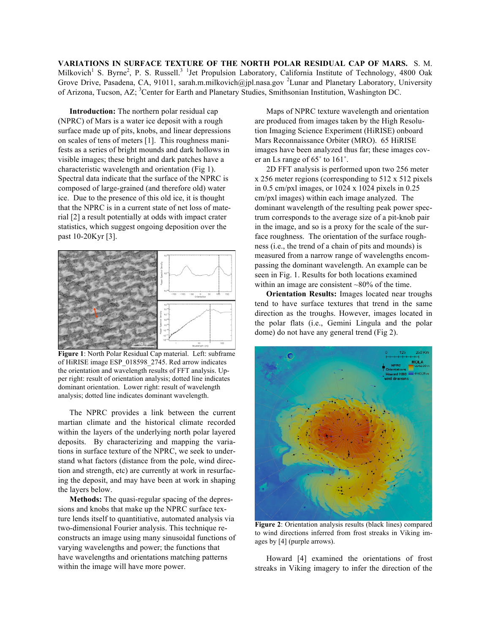**VARIATIONS IN SURFACE TEXTURE OF THE NORTH POLAR RESIDUAL CAP OF MARS.** S. M. Milkovich<sup>1</sup> S. Byrne<sup>2</sup>, P. S. Russell.<sup>3 1</sup> Jet Propulsion Laboratory, California Institute of Technology, 4800 Oak Grove Drive, Pasadena, CA, 91011, sarah.m.milkovich@jpl.nasa.gov <sup>2</sup>Lunar and Planetary Laboratory, University of Arizona, Tucson, AZ; <sup>3</sup>Center for Earth and Planetary Studies, Smithsonian Institution, Washington DC.

**Introduction:** The northern polar residual cap (NPRC) of Mars is a water ice deposit with a rough surface made up of pits, knobs, and linear depressions on scales of tens of meters [1]. This roughness manifests as a series of bright mounds and dark hollows in visible images; these bright and dark patches have a characteristic wavelength and orientation (Fig 1). Spectral data indicate that the surface of the NPRC is composed of large-grained (and therefore old) water ice. Due to the presence of this old ice, it is thought that the NPRC is in a current state of net loss of material [2] a result potentially at odds with impact crater statistics, which suggest ongoing deposition over the past 10-20Kyr [3].



**Figure 1**: North Polar Residual Cap material. Left: subframe of HiRISE image ESP\_018598\_2745. Red arrow indicates the orientation and wavelength results of FFT analysis. Upper right: result of orientation analysis; dotted line indicates dominant orientation. Lower right: result of wavelength analysis; dotted line indicates dominant wavelength.

The NPRC provides a link between the current martian climate and the historical climate recorded within the layers of the underlying north polar layered deposits. By characterizing and mapping the variations in surface texture of the NPRC, we seek to understand what factors (distance from the pole, wind direction and strength, etc) are currently at work in resurfacing the deposit, and may have been at work in shaping the layers below.

**Methods:** The quasi-regular spacing of the depressions and knobs that make up the NPRC surface texture lends itself to quantitiative, automated analysis via two-dimensional Fourier analysis. This technique reconstructs an image using many sinusoidal functions of varying wavelengths and power; the functions that have wavelengths and orientations matching patterns within the image will have more power.

Maps of NPRC texture wavelength and orientation are produced from images taken by the High Resolution Imaging Science Experiment (HiRISE) onboard Mars Reconnaissance Orbiter (MRO). 65 HiRISE images have been analyzed thus far; these images cover an Ls range of 65˚ to 161˚.

2D FFT analysis is performed upon two 256 meter x 256 meter regions (corresponding to 512 x 512 pixels in 0.5 cm/pxl images, or 1024 x 1024 pixels in 0.25 cm/pxl images) within each image analyzed. The dominant wavelength of the resulting peak power spectrum corresponds to the average size of a pit-knob pair in the image, and so is a proxy for the scale of the surface roughness. The orientation of the surface roughness (i.e., the trend of a chain of pits and mounds) is measured from a narrow range of wavelengths encompassing the dominant wavelength. An example can be seen in Fig. 1. Results for both locations examined within an image are consistent ~80% of the time.

**Orientation Results:** Images located near troughs tend to have surface textures that trend in the same direction as the troughs. However, images located in the polar flats (i.e., Gemini Lingula and the polar dome) do not have any general trend (Fig 2).



**Figure 2**: Orientation analysis results (black lines) compared to wind directions inferred from frost streaks in Viking images by [4] (purple arrows).

Howard [4] examined the orientations of frost streaks in Viking imagery to infer the direction of the